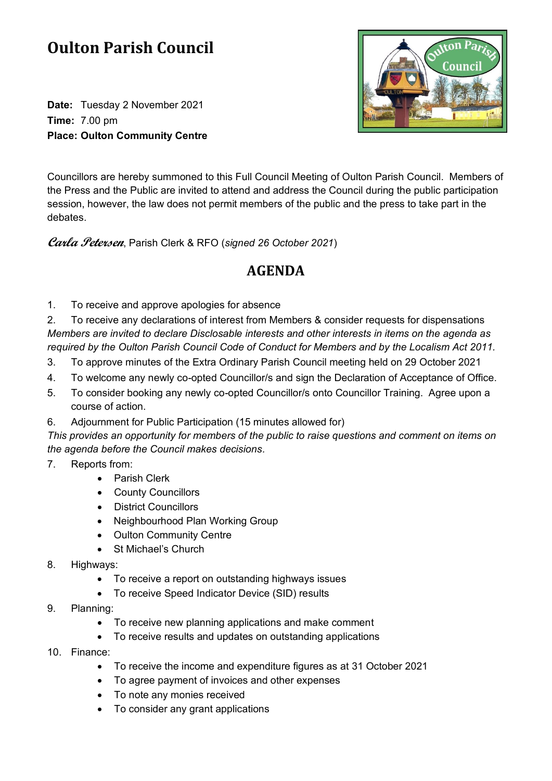## **Oulton Parish Council**

**Date:** Tuesday 2 November 2021 **Time:** 7.00 pm **Place: Oulton Community Centre**



Councillors are hereby summoned to this Full Council Meeting of Oulton Parish Council. Members of the Press and the Public are invited to attend and address the Council during the public participation session, however, the law does not permit members of the public and the press to take part in the debates.

**Carla Petersen**, Parish Clerk & RFO (*signed 26 October 2021*)

## **AGENDA**

1. To receive and approve apologies for absence

2. To receive any declarations of interest from Members & consider requests for dispensations *Members are invited to declare Disclosable interests and other interests in items on the agenda as required by the Oulton Parish Council Code of Conduct for Members and by the Localism Act 2011.*

- 3. To approve minutes of the Extra Ordinary Parish Council meeting held on 29 October 2021
- 4. To welcome any newly co-opted Councillor/s and sign the Declaration of Acceptance of Office.
- 5. To consider booking any newly co-opted Councillor/s onto Councillor Training. Agree upon a course of action.
- 6. Adjournment for Public Participation (15 minutes allowed for)

*This provides an opportunity for members of the public to raise questions and comment on items on the agenda before the Council makes decisions.*

- 7. Reports from:
	- Parish Clerk
	- County Councillors
	- District Councillors
	- Neighbourhood Plan Working Group
	- Oulton Community Centre
	- St Michael's Church
- 8. Highways:
	- To receive a report on outstanding highways issues
	- To receive Speed Indicator Device (SID) results
- 9. Planning:
	- To receive new planning applications and make comment
	- To receive results and updates on outstanding applications
- 10. Finance:
	- To receive the income and expenditure figures as at 31 October 2021
	- To agree payment of invoices and other expenses
	- To note any monies received
	- To consider any grant applications